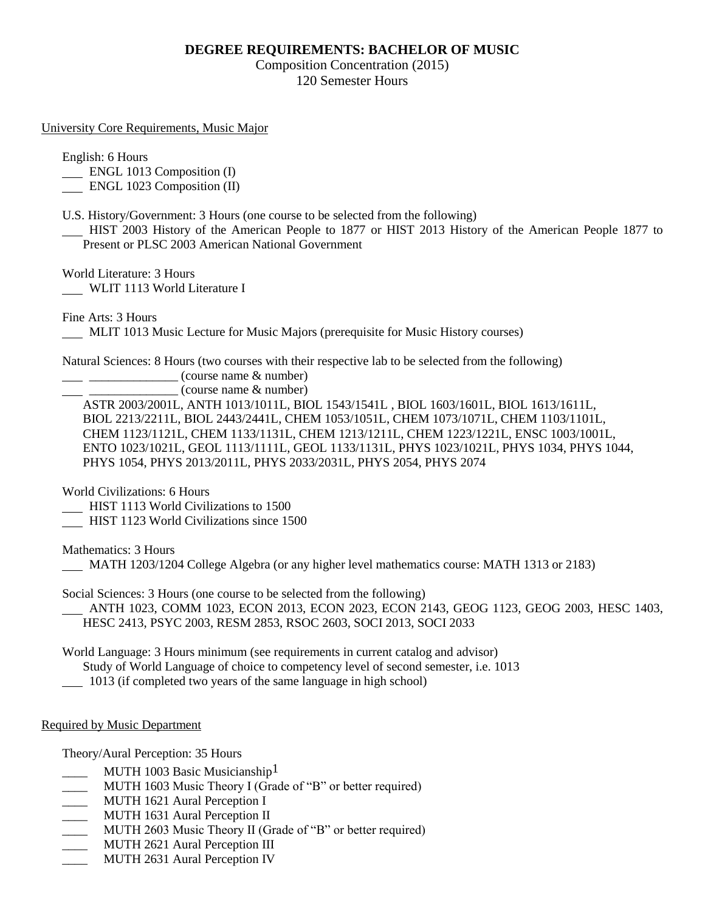## **DEGREE REQUIREMENTS: BACHELOR OF MUSIC**

Composition Concentration (2015) 120 Semester Hours

University Core Requirements, Music Major

English: 6 Hours

ENGL 1013 Composition (I)

ENGL 1023 Composition (II)

U.S. History/Government: 3 Hours (one course to be selected from the following)

 HIST 2003 History of the American People to 1877 or HIST 2013 History of the American People 1877 to Present or PLSC 2003 American National Government

World Literature: 3 Hours

WLIT 1113 World Literature I

Fine Arts: 3 Hours

MLIT 1013 Music Lecture for Music Majors (prerequisite for Music History courses)

Natural Sciences: 8 Hours (two courses with their respective lab to be selected from the following)

\_\_\_\_\_\_\_\_\_\_\_\_\_\_ (course name & number)

\_\_\_\_\_\_\_\_\_\_\_\_\_\_ (course name & number)

ASTR 2003/2001L, ANTH 1013/1011L, BIOL 1543/1541L , BIOL 1603/1601L, BIOL 1613/1611L, BIOL 2213/2211L, BIOL 2443/2441L, CHEM 1053/1051L, CHEM 1073/1071L, CHEM 1103/1101L, CHEM 1123/1121L, CHEM 1133/1131L, CHEM 1213/1211L, CHEM 1223/1221L, ENSC 1003/1001L, ENTO 1023/1021L, GEOL 1113/1111L, GEOL 1133/1131L, PHYS 1023/1021L, PHYS 1034, PHYS 1044, PHYS 1054, PHYS 2013/2011L, PHYS 2033/2031L, PHYS 2054, PHYS 2074

World Civilizations: 6 Hours

HIST 1113 World Civilizations to 1500

HIST 1123 World Civilizations since 1500

Mathematics: 3 Hours

MATH 1203/1204 College Algebra (or any higher level mathematics course: MATH 1313 or 2183)

Social Sciences: 3 Hours (one course to be selected from the following) ANTH 1023, COMM 1023, ECON 2013, ECON 2023, ECON 2143, GEOG 1123, GEOG 2003, HESC 1403,

HESC 2413, PSYC 2003, RESM 2853, RSOC 2603, SOCI 2013, SOCI 2033

World Language: 3 Hours minimum (see requirements in current catalog and advisor) Study of World Language of choice to competency level of second semester, i.e. 1013

1013 (if completed two years of the same language in high school)

Required by Music Department

Theory/Aural Perception: 35 Hours

- MUTH 1003 Basic Musicianship<sup>1</sup>
- MUTH 1603 Music Theory I (Grade of "B" or better required)
- \_\_\_\_ MUTH 1621 Aural Perception I
- MUTH 1631 Aural Perception II
- MUTH 2603 Music Theory II (Grade of "B" or better required)
- \_\_\_\_ MUTH 2621 Aural Perception III
- MUTH 2631 Aural Perception IV